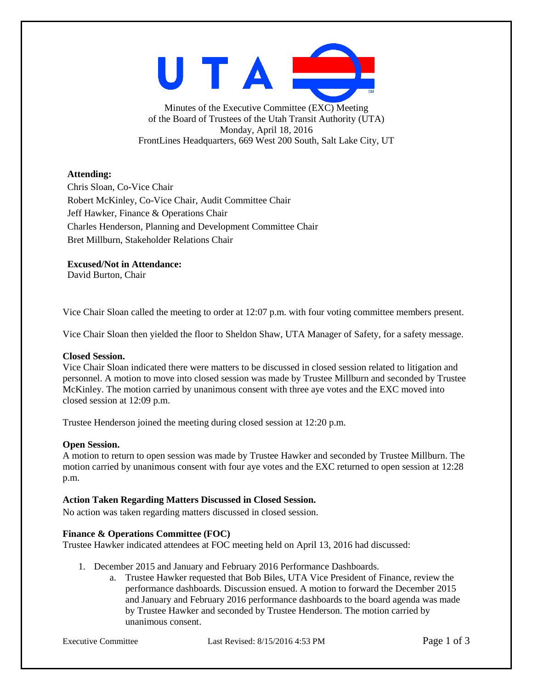

Minutes of the Executive Committee (EXC) Meeting of the Board of Trustees of the Utah Transit Authority (UTA) Monday, April 18, 2016 FrontLines Headquarters, 669 West 200 South, Salt Lake City, UT

# **Attending:**

Chris Sloan, Co-Vice Chair Robert McKinley, Co-Vice Chair, Audit Committee Chair Jeff Hawker, Finance & Operations Chair Charles Henderson, Planning and Development Committee Chair Bret Millburn, Stakeholder Relations Chair

**Excused/Not in Attendance:**

David Burton, Chair

Vice Chair Sloan called the meeting to order at 12:07 p.m. with four voting committee members present.

Vice Chair Sloan then yielded the floor to Sheldon Shaw, UTA Manager of Safety, for a safety message.

# **Closed Session.**

Vice Chair Sloan indicated there were matters to be discussed in closed session related to litigation and personnel. A motion to move into closed session was made by Trustee Millburn and seconded by Trustee McKinley. The motion carried by unanimous consent with three aye votes and the EXC moved into closed session at 12:09 p.m.

Trustee Henderson joined the meeting during closed session at 12:20 p.m.

# **Open Session.**

A motion to return to open session was made by Trustee Hawker and seconded by Trustee Millburn. The motion carried by unanimous consent with four aye votes and the EXC returned to open session at 12:28 p.m.

# **Action Taken Regarding Matters Discussed in Closed Session.**

No action was taken regarding matters discussed in closed session.

# **Finance & Operations Committee (FOC)**

Trustee Hawker indicated attendees at FOC meeting held on April 13, 2016 had discussed:

- 1. December 2015 and January and February 2016 Performance Dashboards.
	- a. Trustee Hawker requested that Bob Biles, UTA Vice President of Finance, review the performance dashboards. Discussion ensued. A motion to forward the December 2015 and January and February 2016 performance dashboards to the board agenda was made by Trustee Hawker and seconded by Trustee Henderson. The motion carried by unanimous consent.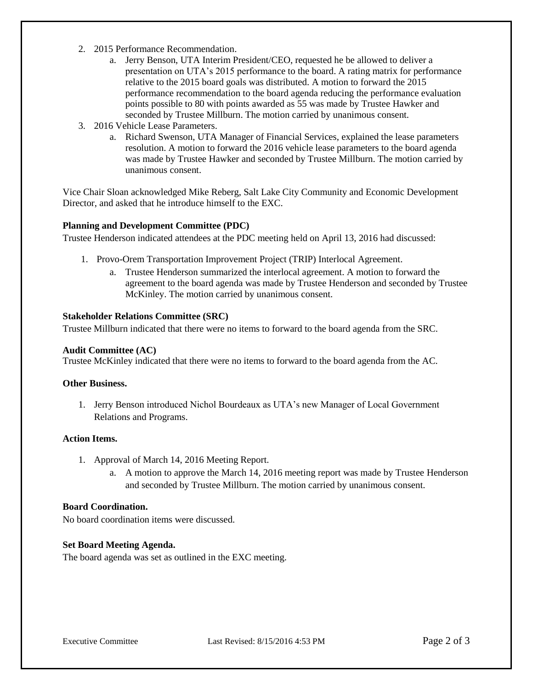- 2. 2015 Performance Recommendation.
	- a. Jerry Benson, UTA Interim President/CEO, requested he be allowed to deliver a presentation on UTA's 2015 performance to the board. A rating matrix for performance relative to the 2015 board goals was distributed. A motion to forward the 2015 performance recommendation to the board agenda reducing the performance evaluation points possible to 80 with points awarded as 55 was made by Trustee Hawker and seconded by Trustee Millburn. The motion carried by unanimous consent.
- 3. 2016 Vehicle Lease Parameters.
	- a. Richard Swenson, UTA Manager of Financial Services, explained the lease parameters resolution. A motion to forward the 2016 vehicle lease parameters to the board agenda was made by Trustee Hawker and seconded by Trustee Millburn. The motion carried by unanimous consent.

Vice Chair Sloan acknowledged Mike Reberg, Salt Lake City Community and Economic Development Director, and asked that he introduce himself to the EXC.

## **Planning and Development Committee (PDC)**

Trustee Henderson indicated attendees at the PDC meeting held on April 13, 2016 had discussed:

- 1. Provo-Orem Transportation Improvement Project (TRIP) Interlocal Agreement.
	- a. Trustee Henderson summarized the interlocal agreement. A motion to forward the agreement to the board agenda was made by Trustee Henderson and seconded by Trustee McKinley. The motion carried by unanimous consent.

## **Stakeholder Relations Committee (SRC)**

Trustee Millburn indicated that there were no items to forward to the board agenda from the SRC.

#### **Audit Committee (AC)**

Trustee McKinley indicated that there were no items to forward to the board agenda from the AC.

#### **Other Business.**

1. Jerry Benson introduced Nichol Bourdeaux as UTA's new Manager of Local Government Relations and Programs.

## **Action Items.**

- 1. Approval of March 14, 2016 Meeting Report.
	- a. A motion to approve the March 14, 2016 meeting report was made by Trustee Henderson and seconded by Trustee Millburn. The motion carried by unanimous consent.

#### **Board Coordination.**

No board coordination items were discussed.

#### **Set Board Meeting Agenda.**

The board agenda was set as outlined in the EXC meeting.